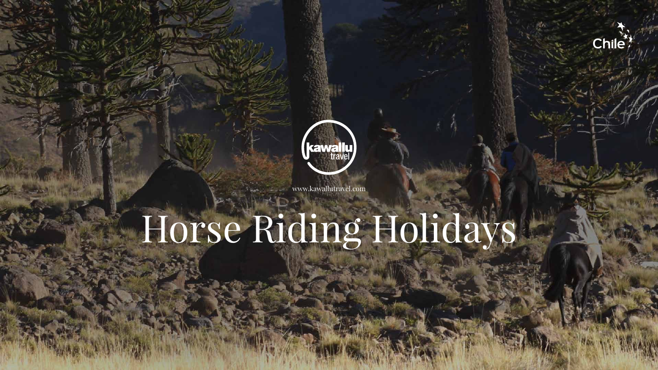# Horse Riding Holidays





www.kawallutravel.com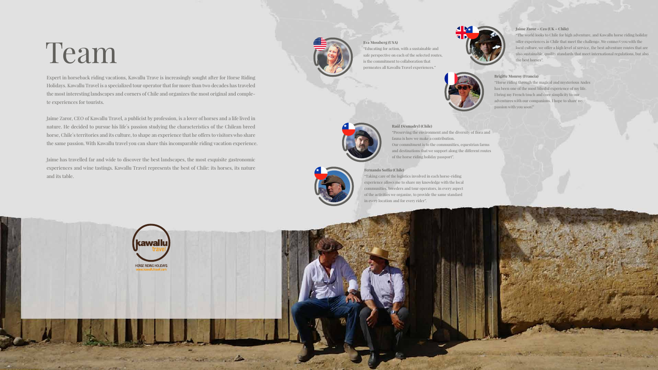"Taking care of the logistics involved in each horse-riding experience allows me to share my knowledge with the local communities, breeders and tour operators, in every aspect of the activities we organize, to provide the same standard in every location and for every rider".



### **Brigitte Monroy (Francia)**

"Horse riding through the magical and mysterious Andes has been one of the most blissful experience of my life. I bring my French touch and core simplicity to our adventures with our companions. I hope to share my passion with you soon!"



## **Eva Mossberg (USA)**

"Educating for action, with a sustainable and safe perspective on each of the selected routes, is the commitment to collaboration that permeates all Kawallu Travel experiences."



## **Raúl Desmadryl (Chile)**

"Preserving the environment and the diversity of flora and fauna is how we make a contribution. Our commitment is to the communities, equestrian farms and destinations that we support along the different routes of the horse riding holiday passport".

## **Fernando Soffia (Chile)**

## **Jaime Zaror – Ceo (UK – Chile)**

"The world looks to Chile for high adventure, and Kawallu horse riding holiday offer experiences in Chile that meet the challenge. We connect you with the local culture, we offer a high level of service, the best adventure routes that are also sustainable, quality standards that meet international regulations, but also the best horses".



Expert in horseback riding vacations, Kawallu Trave is increasingly sought after for Horse Riding Holidays. Kawallu Travel is a specialized tour operator that for more than two decades has traveled the most interesting landscapes and corners of Chile and organizes the most original and complete experiences for tourists.

Jaime Zaror, CEO of Kawallu Travel, a publicist by profession, is a lover of horses and a life lived in nature. He decided to pursue his life´s passion studying the characteristics of the Chilean breed horse, Chile's territories and its culture, to shape an experience that he offers to visitors who share the same passion. With Kawallu travel you can share this incomparable riding vacation experience.

Jaime has travelled far and wide to discover the best landscapes, the most exquisite gastronomic experiences and wine tastings. Kawallu Travel represents the best of Chile: its horses, its nature and its table.



## Team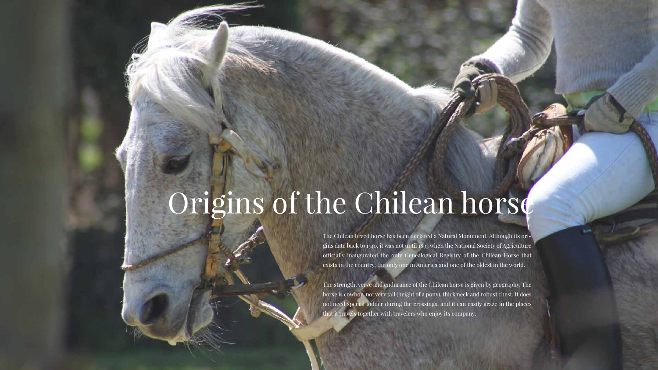# Origins of the Chilean horse

The Chilean breed horse has been declared a Natural Monument. Although its origins date back to 1540, it was not until 1893 when the National Society of Agriculture officially inaugurated the only Genealogical Registry of the Chilean Horse that exists in the country, the only one in America and one of the oldest in the world.

The strength, verve and endurance of the Chilean horse is given by geography. The horse is cowboy, not very tall (height of a pony), thick neck and robust chest. It does not need special fodder during the crossings, and it can easily graze in the places that it travels together with travelers who enjoy its company.

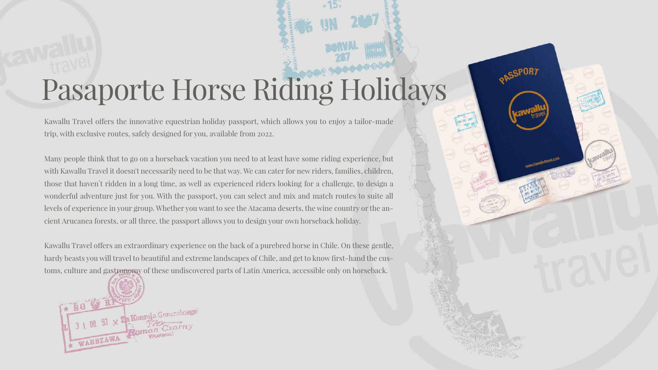# Pasaporte Horse Riding Holidays

Kawallu Travel offers the innovative equestrian holiday passport, which allows you to enjoy a tailor-made trip, with exclusive routes, safely designed for you, available from 2022.

Many people think that to go on a horseback vacation you need to at least have some riding experience, but with Kawallu Travel it doesn't necessarily need to be that way. We can cater for new riders, families, children, those that haven´t ridden in a long time, as well as experienced riders looking for a challenge, to design a wonderful adventure just for you. With the passport, you can select and mix and match routes to suite all levels of experience in your group. Whether you want to see the Atacama deserts, the wine country or the ancient Arucanea forests, or all three, the passport allows you to design your own horseback holiday.

Kawallu Travel offers an extraordinary experience on the back of a purebred horse in Chile. On these gentle, hardy beasts you will travel to beautiful and extreme landscapes of Chile, and get to know first-hand the customs, culture and gastronomy of these undiscovered parts of Latin America, accessible only on horseback.



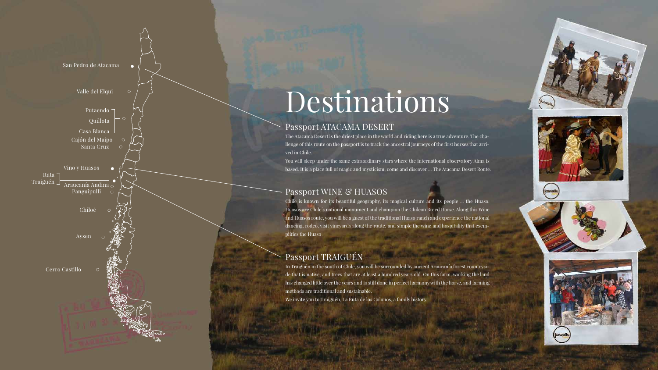## Passport ATACAMA DESERT

The Atacama Desert is the driest place in the world and riding here is a true adventure. The challenge of this route on the passport is to track the ancestral journeys of the first horses that arri-

Chile is known for its beautiful geography, its magical culture and its people ... the Huaso. Huasos are Chile´s national monument and champion the Chilean Breed Horse. Along this Wine and Huasos route, you will be a guest of the traditional Huaso ranch and experience the national dancing, rodeo, visit vineyards along the route, and simple the wine and hospitality that exem-

You will sleep under the same extraordinary stars where the international observatory Alma is based. It is a place full of magic and mysticism, come and discover ... The Atacama Desert Route.

## Passport WINE & HUASOS

## Passport TRAIGUÉN

In Traiguén in the south of Chile, you will be surrounded by ancient Araucanía forest countryside that is native, and trees that are at least a hundred years old. On this farm, working the land has changed little over the years and is still done in perfect harmony with the horse, and farming methods are traditional and sustainable.

We invite you to Traiguén, La Ruta de los Colonos, a family history.









## Destinations

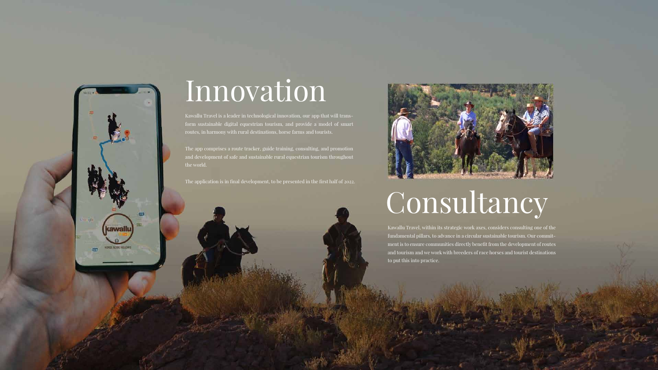Kawallu Travel is a leader in technological innovation, our app that will transform sustainable digital equestrian tourism, and provide a model of smart routes, in harmony with rural destinations, horse farms and tourists.

The app comprises a route tracker, guide training, consulting, and promotion and development of safe and sustainable rural equestrian tourism throughout the world.

The application is in final development, to be presented in the first half of 2022.



Kawallu Travel, within its strategic work axes, considers consulting one of the fundamental pillars, to advance in a circular sustainable tourism. Our commitment is to ensure communities directly benefit from the development of routes and tourism and we work with breeders of race horses and tourist destinations to put this into practice.





## Innovation

# Consultancy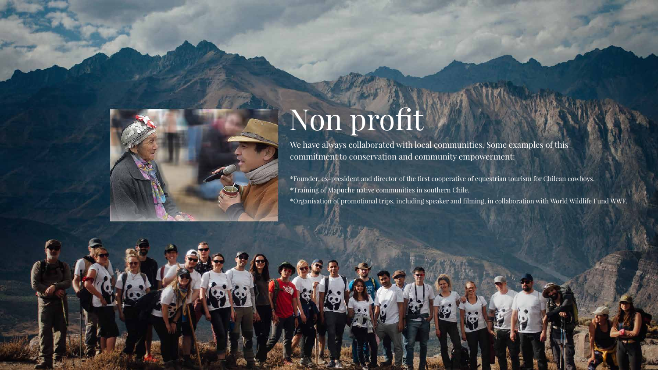

## Non profit

We have always collaborated with local communities. Some examples of this commitment to conservation and community empowerment:

\*Founder, ex-president and director of the first cooperative of equestrian tourism for Chilean cowboys. \*Training of Mapuche native communities in southern Chile. \*Organisation of promotional trips, including speaker and filming, in collaboration with World Wildlife Fund WWF.